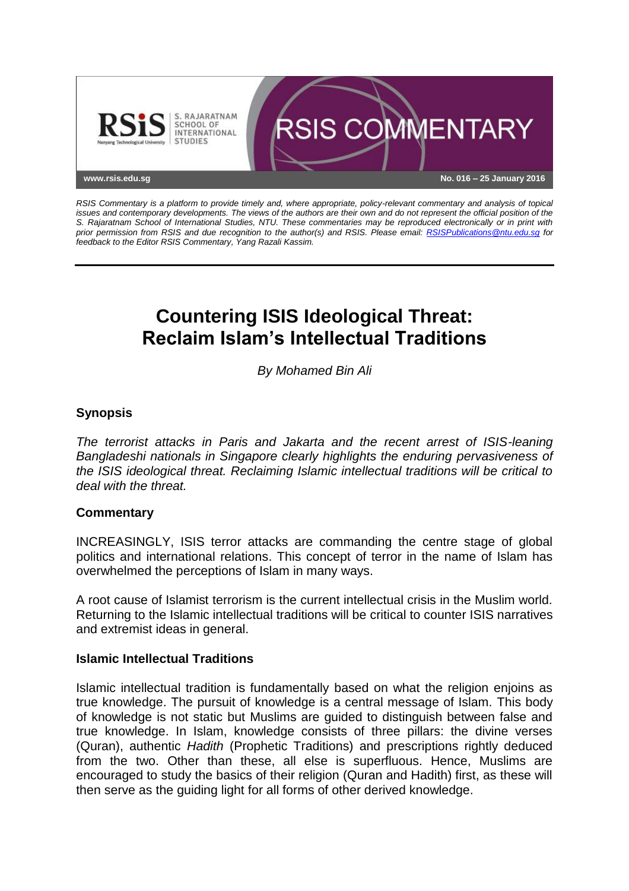

*RSIS Commentary is a platform to provide timely and, where appropriate, policy-relevant commentary and analysis of topical issues and contemporary developments. The views of the authors are their own and do not represent the official position of the S. Rajaratnam School of International Studies, NTU. These commentaries may be reproduced electronically or in print with prior permission from RSIS and due recognition to the author(s) and RSIS. Please email: [RSISPublications@ntu.edu.sg](mailto:RSISPublications@ntu.edu.sg) for feedback to the Editor RSIS Commentary, Yang Razali Kassim.*

# **Countering ISIS Ideological Threat: Reclaim Islam's Intellectual Traditions**

*By Mohamed Bin Ali*

## **Synopsis**

*The terrorist attacks in Paris and Jakarta and the recent arrest of ISIS-leaning Bangladeshi nationals in Singapore clearly highlights the enduring pervasiveness of the ISIS ideological threat. Reclaiming Islamic intellectual traditions will be critical to deal with the threat.*

#### **Commentary**

INCREASINGLY, ISIS terror attacks are commanding the centre stage of global politics and international relations. This concept of terror in the name of Islam has overwhelmed the perceptions of Islam in many ways.

A root cause of Islamist terrorism is the current intellectual crisis in the Muslim world. Returning to the Islamic intellectual traditions will be critical to counter ISIS narratives and extremist ideas in general.

#### **Islamic Intellectual Traditions**

Islamic intellectual tradition is fundamentally based on what the religion enjoins as true knowledge. The pursuit of knowledge is a central message of Islam. This body of knowledge is not static but Muslims are guided to distinguish between false and true knowledge. In Islam, knowledge consists of three pillars: the divine verses (Quran), authentic *Hadith* (Prophetic Traditions) and prescriptions rightly deduced from the two. Other than these, all else is superfluous. Hence, Muslims are encouraged to study the basics of their religion (Quran and Hadith) first, as these will then serve as the guiding light for all forms of other derived knowledge.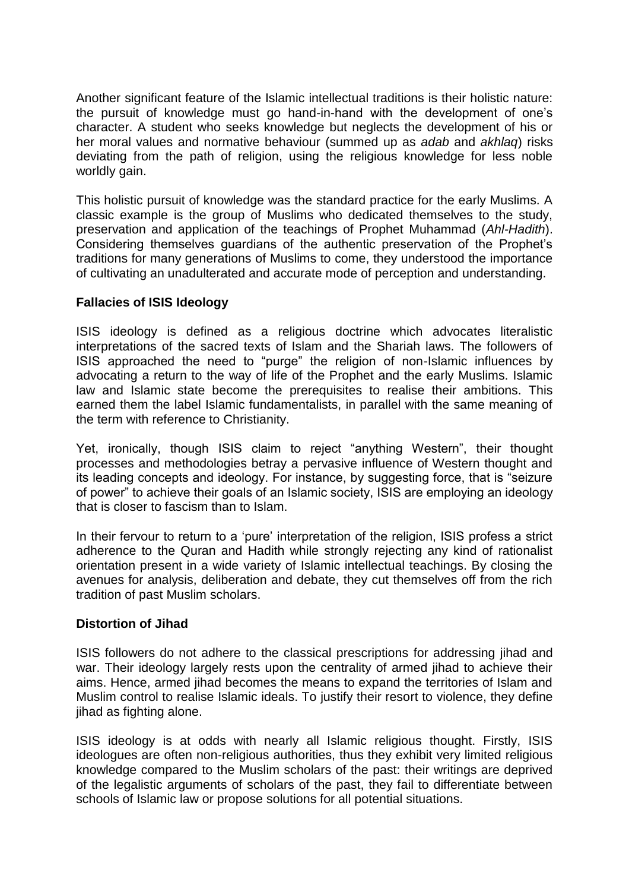Another significant feature of the Islamic intellectual traditions is their holistic nature: the pursuit of knowledge must go hand-in-hand with the development of one's character. A student who seeks knowledge but neglects the development of his or her moral values and normative behaviour (summed up as *adab* and *akhlaq*) risks deviating from the path of religion, using the religious knowledge for less noble worldly gain.

This holistic pursuit of knowledge was the standard practice for the early Muslims. A classic example is the group of Muslims who dedicated themselves to the study, preservation and application of the teachings of Prophet Muhammad (*Ahl-Hadith*). Considering themselves guardians of the authentic preservation of the Prophet's traditions for many generations of Muslims to come, they understood the importance of cultivating an unadulterated and accurate mode of perception and understanding.

### **Fallacies of ISIS Ideology**

ISIS ideology is defined as a religious doctrine which advocates literalistic interpretations of the sacred texts of Islam and the Shariah laws. The followers of ISIS approached the need to "purge" the religion of non-Islamic influences by advocating a return to the way of life of the Prophet and the early Muslims. Islamic law and Islamic state become the prerequisites to realise their ambitions. This earned them the label Islamic fundamentalists, in parallel with the same meaning of the term with reference to Christianity.

Yet, ironically, though ISIS claim to reject "anything Western", their thought processes and methodologies betray a pervasive influence of Western thought and its leading concepts and ideology. For instance, by suggesting force, that is "seizure of power" to achieve their goals of an Islamic society, ISIS are employing an ideology that is closer to fascism than to Islam.

In their fervour to return to a 'pure' interpretation of the religion, ISIS profess a strict adherence to the Quran and Hadith while strongly rejecting any kind of rationalist orientation present in a wide variety of Islamic intellectual teachings. By closing the avenues for analysis, deliberation and debate, they cut themselves off from the rich tradition of past Muslim scholars.

#### **Distortion of Jihad**

ISIS followers do not adhere to the classical prescriptions for addressing jihad and war. Their ideology largely rests upon the centrality of armed jihad to achieve their aims. Hence, armed jihad becomes the means to expand the territories of Islam and Muslim control to realise Islamic ideals. To justify their resort to violence, they define jihad as fighting alone.

ISIS ideology is at odds with nearly all Islamic religious thought. Firstly, ISIS ideologues are often non-religious authorities, thus they exhibit very limited religious knowledge compared to the Muslim scholars of the past: their writings are deprived of the legalistic arguments of scholars of the past, they fail to differentiate between schools of Islamic law or propose solutions for all potential situations.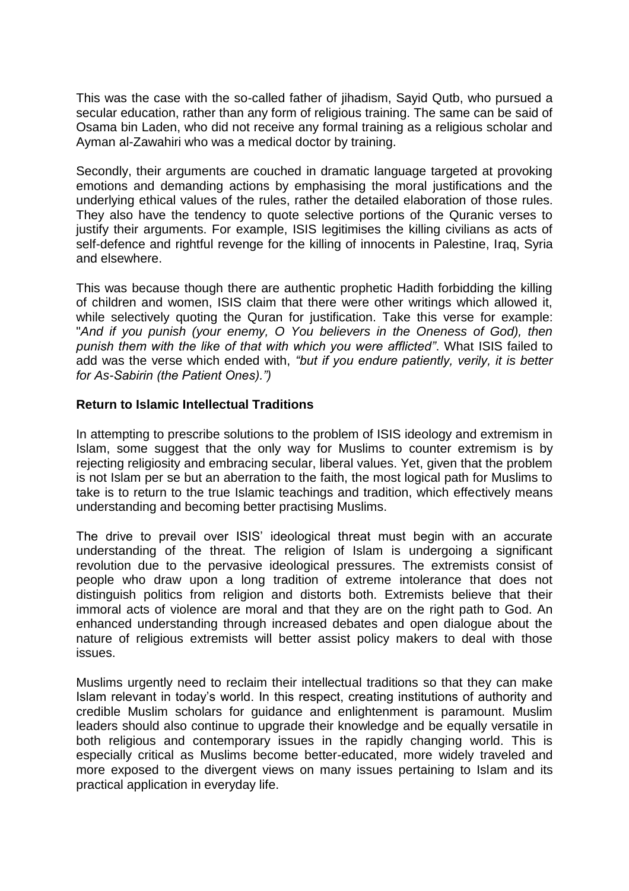This was the case with the so-called father of jihadism, Sayid Qutb, who pursued a secular education, rather than any form of religious training. The same can be said of Osama bin Laden, who did not receive any formal training as a religious scholar and Ayman al-Zawahiri who was a medical doctor by training.

Secondly, their arguments are couched in dramatic language targeted at provoking emotions and demanding actions by emphasising the moral justifications and the underlying ethical values of the rules, rather the detailed elaboration of those rules. They also have the tendency to quote selective portions of the Quranic verses to justify their arguments. For example, ISIS legitimises the killing civilians as acts of self-defence and rightful revenge for the killing of innocents in Palestine, Iraq, Syria and elsewhere.

This was because though there are authentic prophetic Hadith forbidding the killing of children and women, ISIS claim that there were other writings which allowed it, while selectively quoting the Quran for justification. Take this verse for example: "*And if you punish (your enemy, O You believers in the Oneness of God), then punish them with the like of that with which you were afflicted"*. What ISIS failed to add was the verse which ended with, *"but if you endure patiently, verily, it is better for As-Sabirin (the Patient Ones).")*

#### **Return to Islamic Intellectual Traditions**

In attempting to prescribe solutions to the problem of ISIS ideology and extremism in Islam, some suggest that the only way for Muslims to counter extremism is by rejecting religiosity and embracing secular, liberal values. Yet, given that the problem is not Islam per se but an aberration to the faith, the most logical path for Muslims to take is to return to the true Islamic teachings and tradition, which effectively means understanding and becoming better practising Muslims.

The drive to prevail over ISIS' ideological threat must begin with an accurate understanding of the threat. The religion of Islam is undergoing a significant revolution due to the pervasive ideological pressures. The extremists consist of people who draw upon a long tradition of extreme intolerance that does not distinguish politics from religion and distorts both. Extremists believe that their immoral acts of violence are moral and that they are on the right path to God. An enhanced understanding through increased debates and open dialogue about the nature of religious extremists will better assist policy makers to deal with those issues.

Muslims urgently need to reclaim their intellectual traditions so that they can make Islam relevant in today's world. In this respect, creating institutions of authority and credible Muslim scholars for guidance and enlightenment is paramount. Muslim leaders should also continue to upgrade their knowledge and be equally versatile in both religious and contemporary issues in the rapidly changing world. This is especially critical as Muslims become better-educated, more widely traveled and more exposed to the divergent views on many issues pertaining to Islam and its practical application in everyday life.